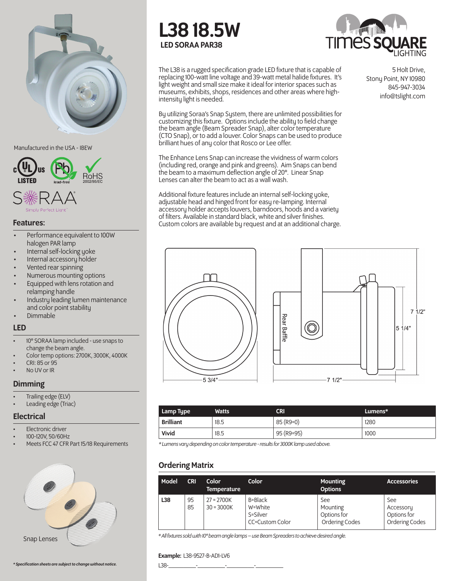

Manufactured in the USA - IBEW



### Features:

- Performance equivalent to 100W halogen PAR lamp
- Internal self-locking yoke
- Internal accessoru holder
- Vented rear spinning
- Numerous mounting options
- Equipped with lens rotation and relamping handle
- Industry leading lumen maintenance and color point stability
- Dimmable

### LED

- 10° SORAA lamp included use snaps to change the beam angle.
- Color temp options: 2700K, 3000K, 4000K • CRI: 85 or 95
- 
- No UV or IR

## **Dimming**

- Trailing edge (ELV)
- Leading edge (Triac)

### **Electrical**

- Electronic driver
- 100-120V, 50/60Hz
- Meets FCC 47 CFR Part 15/18 Requirements





L38 18.5W LED SORAA PAR38



The L38 is a rugged specification grade LED fixture that is capable of replacing 100-watt line voltage and 39-watt metal halide fixtures. It's light weight and small size make it ideal for interior spaces such as museums, exhibits, shops, residences and other areas where highintensity light is needed.

By utilizing Soraa's Snap System, there are unlimited possibilities for customizing this fixture. Options include the ability to field change the beam angle (Beam Spreader Snap), alter color temperature (CTO Snap), or to add a louver. Color Snaps can be used to produce brilliant hues of any color that Rosco or Lee offer.

The Enhance Lens Snap can increase the vividness of warm colors (including red, orange and pink and greens). Aim Snaps can bend the beam to a maximum deflection angle of 20°. Linear Snap Lenses can alter the beam to act as a wall wash.

Additional fixture features include an internal self-locking yoke, adjustable head and hinged front for easy re-lamping. Internal accessory holder accepts louvers, barndoors, hoods and a variety of filters. Available in standard black, white and silver finishes. Custom colors are available by request and at an additional charge.

5 Holt Drive, Stony Point, NY 10980 845-947-3034 info@tslight.com





| Lamp Type        | <b>Watts</b> | <b>CRI</b> | Lumens* |
|------------------|--------------|------------|---------|
| <b>Brilliant</b> | 18.5         | 85 (R9=0)  | 1280    |
| Vivid            | 18.5         | 95 (R9=95) | 1000    |

*\* Lumens vary depending on color temperature - results for 3000K lamp used above.*

# Ordering Matrix

| Model | <b>CRI</b> | Color<br><b>Temperature</b>  | Color                                             | <b>Mounting</b><br><b>Options</b>                | <b>Accessories</b>                                |
|-------|------------|------------------------------|---------------------------------------------------|--------------------------------------------------|---------------------------------------------------|
| L38   | 95<br>85   | $27 = 2700K$<br>$30 = 3000K$ | B=Black<br>W=White<br>S=Silver<br>CC=Custom Color | See<br>Mounting<br>Options for<br>Ordering Codes | See<br>Accessory<br>Options for<br>Ordering Codes |

*\* All fixtures sold with 10° beam angle lamps – use Beam Spreaders to achieve desired angle.* Snap Lenses

### Example: L38-9527-B-AD1-LV6

*\* Specification sheets are subject to change without notice.* L38-\_\_\_\_\_\_\_\_\_-\_\_\_\_\_\_\_\_\_-\_\_\_\_\_\_\_\_\_-\_\_\_\_\_\_\_\_\_